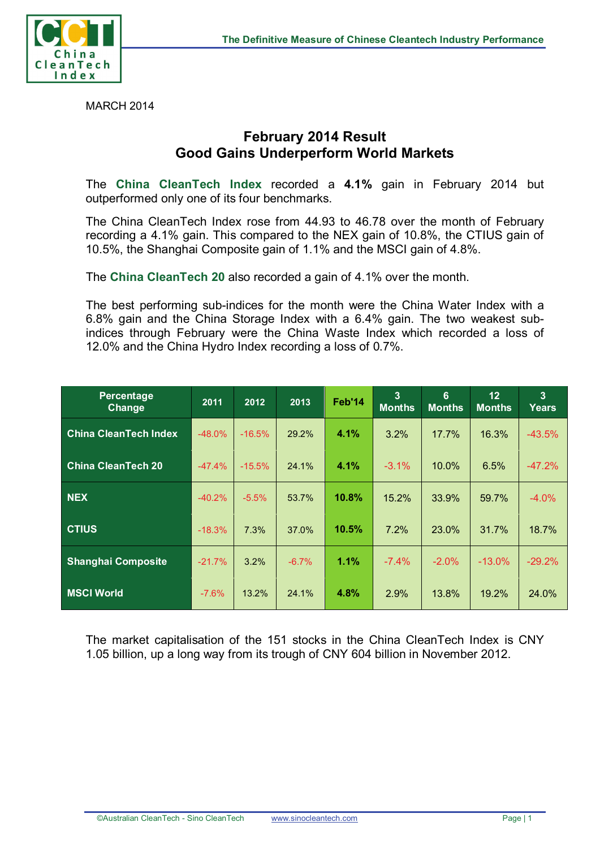

MARCH 2014

## **February 2014 Result Good Gains Underperform World Markets**

The **China CleanTech Index** recorded a **4.1%** gain in February 2014 but outperformed only one of its four benchmarks.

The China CleanTech Index rose from 44.93 to 46.78 over the month of February recording a 4.1% gain. This compared to the NEX gain of 10.8%, the CTIUS gain of 10.5%, the Shanghai Composite gain of 1.1% and the MSCI gain of 4.8%.

The **China CleanTech 20** also recorded a gain of 4.1% over the month.

The best performing sub-indices for the month were the China Water Index with a 6.8% gain and the China Storage Index with a 6.4% gain. The two weakest subindices through February were the China Waste Index which recorded a loss of 12.0% and the China Hydro Index recording a loss of 0.7%.

| Percentage<br>Change         | 2011      | 2012     | 2013    | Feb'14 | 3<br><b>Months</b> | 6<br><b>Months</b> | 12<br><b>Months</b> | $\overline{3}$<br>Years |
|------------------------------|-----------|----------|---------|--------|--------------------|--------------------|---------------------|-------------------------|
| <b>China CleanTech Index</b> | $-48.0\%$ | $-16.5%$ | 29.2%   | 4.1%   | 3.2%               | 17.7%              | 16.3%               | $-43.5%$                |
| China CleanTech 20           | $-47.4%$  | $-15.5%$ | 24.1%   | 4.1%   | $-3.1\%$           | 10.0%              | 6.5%                | $-47.2%$                |
| <b>NEX</b>                   | $-40.2%$  | $-5.5%$  | 53.7%   | 10.8%  | 15.2%              | 33.9%              | 59.7%               | $-4.0\%$                |
| <b>CTIUS</b>                 | $-18.3%$  | 7.3%     | 37.0%   | 10.5%  | 7.2%               | 23.0%              | 31.7%               | 18.7%                   |
| <b>Shanghai Composite</b>    | $-21.7%$  | 3.2%     | $-6.7%$ | 1.1%   | $-7.4\%$           | $-2.0\%$           | $-13.0\%$           | $-29.2%$                |
| <b>MSCI World</b>            | $-7.6%$   | 13.2%    | 24.1%   | 4.8%   | 2.9%               | 13.8%              | 19.2%               | 24.0%                   |

The market capitalisation of the 151 stocks in the China CleanTech Index is CNY 1.05 billion, up a long way from its trough of CNY 604 billion in November 2012.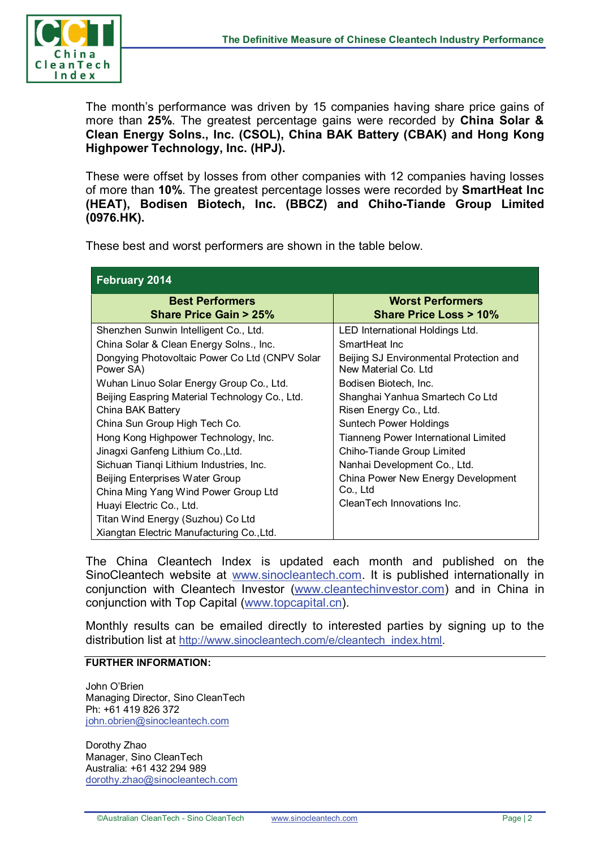

The month's performance was driven by 15 companies having share price gains of more than **25%**. The greatest percentage gains were recorded by **China Solar & Clean Energy Solns., Inc. (CSOL), China BAK Battery (CBAK) and Hong Kong Highpower Technology, Inc. (HPJ).**

These were offset by losses from other companies with 12 companies having losses of more than **10%**. The greatest percentage losses were recorded by **SmartHeat Inc (HEAT), Bodisen Biotech, Inc. (BBCZ) and Chiho-Tiande Group Limited (0976.HK).**

These best and worst performers are shown in the table below.

| <b>February 2014</b>                                                                                                                                                                                                                                                                                                                                                                                                                                                                                                                                                    |                                                                                                                                                                                                                                                                                                                                                                                                                            |  |  |  |  |  |
|-------------------------------------------------------------------------------------------------------------------------------------------------------------------------------------------------------------------------------------------------------------------------------------------------------------------------------------------------------------------------------------------------------------------------------------------------------------------------------------------------------------------------------------------------------------------------|----------------------------------------------------------------------------------------------------------------------------------------------------------------------------------------------------------------------------------------------------------------------------------------------------------------------------------------------------------------------------------------------------------------------------|--|--|--|--|--|
| <b>Best Performers</b><br><b>Share Price Gain &gt; 25%</b>                                                                                                                                                                                                                                                                                                                                                                                                                                                                                                              | <b>Worst Performers</b><br><b>Share Price Loss &gt; 10%</b>                                                                                                                                                                                                                                                                                                                                                                |  |  |  |  |  |
| Shenzhen Sunwin Intelligent Co., Ltd.<br>China Solar & Clean Energy Solns., Inc.<br>Dongying Photovoltaic Power Co Ltd (CNPV Solar<br>Power SA)<br>Wuhan Linuo Solar Energy Group Co., Ltd.<br>Beijing Easpring Material Technology Co., Ltd.<br>China BAK Battery<br>China Sun Group High Tech Co.<br>Hong Kong Highpower Technology, Inc.<br>Jinagxi Ganfeng Lithium Co., Ltd.<br>Sichuan Tiangi Lithium Industries, Inc.<br>Beijing Enterprises Water Group<br>China Ming Yang Wind Power Group Ltd<br>Huayi Electric Co., Ltd.<br>Titan Wind Energy (Suzhou) Co Ltd | LED International Holdings Ltd.<br>SmartHeat Inc.<br>Beijing SJ Environmental Protection and<br>New Material Co. Ltd<br>Bodisen Biotech, Inc.<br>Shanghai Yanhua Smartech Co Ltd<br>Risen Energy Co., Ltd.<br>Suntech Power Holdings<br>Tianneng Power International Limited<br>Chiho-Tiande Group Limited<br>Nanhai Development Co., Ltd.<br>China Power New Energy Development<br>Co., Ltd<br>CleanTech Innovations Inc. |  |  |  |  |  |
| Xiangtan Electric Manufacturing Co., Ltd.                                                                                                                                                                                                                                                                                                                                                                                                                                                                                                                               |                                                                                                                                                                                                                                                                                                                                                                                                                            |  |  |  |  |  |

The China Cleantech Index is updated each month and published on the SinoCleantech website at [www.sinocleantech.com.](http://www.sinocleantech.com/) It is published internationally in conjunction with Cleantech Investor [\(www.cleantechinvestor.com\)](http://www.cleantechinvestor.com/) and in China in conjunction with Top Capital [\(www.topcapital.cn\)](http://www.topcapital.cn/).

Monthly results can be emailed directly to interested parties by signing up to the distribution list at [http://www.sinocleantech.com/e/cleantech\\_index.html.](http://www.sinocleantech.com/e/cleantech_index.html)

## **FURTHER INFORMATION:**

John O'Brien Managing Director, Sino CleanTech Ph: +61 419 826 372 [john.obrien@sinocleantech.com](mailto:john.obrien@sinocleantech.com)

Dorothy Zhao Manager, Sino CleanTech Australia: +61 432 294 989 [dorothy.zhao@sinocleantech.com](mailto:dorothy.zhao@sinocleantech.com)